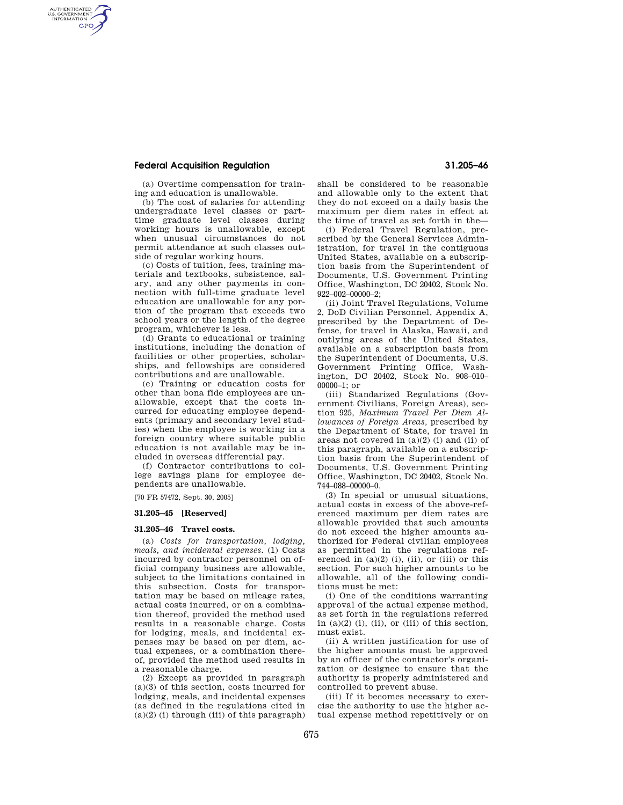# **Federal Acquisition Regulation 31.205–46**

AUTHENTICATED<br>U.S. GOVERNMENT<br>INFORMATION **GPO** 

> (a) Overtime compensation for training and education is unallowable.

> (b) The cost of salaries for attending undergraduate level classes or parttime graduate level classes during working hours is unallowable, except when unusual circumstances do not permit attendance at such classes outside of regular working hours.

> (c) Costs of tuition, fees, training materials and textbooks, subsistence, salary, and any other payments in connection with full-time graduate level education are unallowable for any portion of the program that exceeds two school years or the length of the degree program, whichever is less.

> (d) Grants to educational or training institutions, including the donation of facilities or other properties, scholarships, and fellowships are considered contributions and are unallowable.

> (e) Training or education costs for other than bona fide employees are unallowable, except that the costs incurred for educating employee dependents (primary and secondary level studies) when the employee is working in a foreign country where suitable public education is not available may be included in overseas differential pay.

(f) Contractor contributions to college savings plans for employee dependents are unallowable.

[70 FR 57472, Sept. 30, 2005]

### **31.205–45 [Reserved]**

#### **31.205–46 Travel costs.**

(a) *Costs for transportation, lodging, meals, and incidental expenses.* (1) Costs incurred by contractor personnel on official company business are allowable, subject to the limitations contained in this subsection. Costs for transportation may be based on mileage rates, actual costs incurred, or on a combination thereof, provided the method used results in a reasonable charge. Costs for lodging, meals, and incidental expenses may be based on per diem, actual expenses, or a combination thereof, provided the method used results in a reasonable charge.

(2) Except as provided in paragraph (a)(3) of this section, costs incurred for lodging, meals, and incidental expenses (as defined in the regulations cited in  $(a)(2)$  (i) through (iii) of this paragraph) shall be considered to be reasonable and allowable only to the extent that they do not exceed on a daily basis the maximum per diem rates in effect at the time of travel as set forth in the—

(i) Federal Travel Regulation, prescribed by the General Services Administration, for travel in the contiguous United States, available on a subscription basis from the Superintendent of Documents, U.S. Government Printing Office, Washington, DC 20402, Stock No.  $922 - 002 - 00000 - 2$ 

(ii) Joint Travel Regulations, Volume 2, DoD Civilian Personnel, Appendix A, prescribed by the Department of Defense, for travel in Alaska, Hawaii, and outlying areas of the United States, available on a subscription basis from the Superintendent of Documents, U.S. Government Printing Office, Washington, DC 20402, Stock No. 908–010– 00000–1; or

(iii) Standarized Regulations (Government Civilians, Foreign Areas), section 925, *Maximum Travel Per Diem Allowances of Foreign Areas,* prescribed by the Department of State, for travel in areas not covered in  $(a)(2)$  (i) and (ii) of this paragraph, available on a subscription basis from the Superintendent of Documents, U.S. Government Printing Office, Washington, DC 20402, Stock No. 744–088–00000–0.

(3) In special or unusual situations, actual costs in excess of the above-referenced maximum per diem rates are allowable provided that such amounts do not exceed the higher amounts authorized for Federal civilian employees as permitted in the regulations referenced in  $(a)(2)$  (i), (ii), or (iii) or this section. For such higher amounts to be allowable, all of the following conditions must be met:

(i) One of the conditions warranting approval of the actual expense method, as set forth in the regulations referred in  $(a)(2)$  (i), (ii), or (iii) of this section. must exist.

(ii) A written justification for use of the higher amounts must be approved by an officer of the contractor's organization or designee to ensure that the authority is properly administered and controlled to prevent abuse.

(iii) If it becomes necessary to exercise the authority to use the higher actual expense method repetitively or on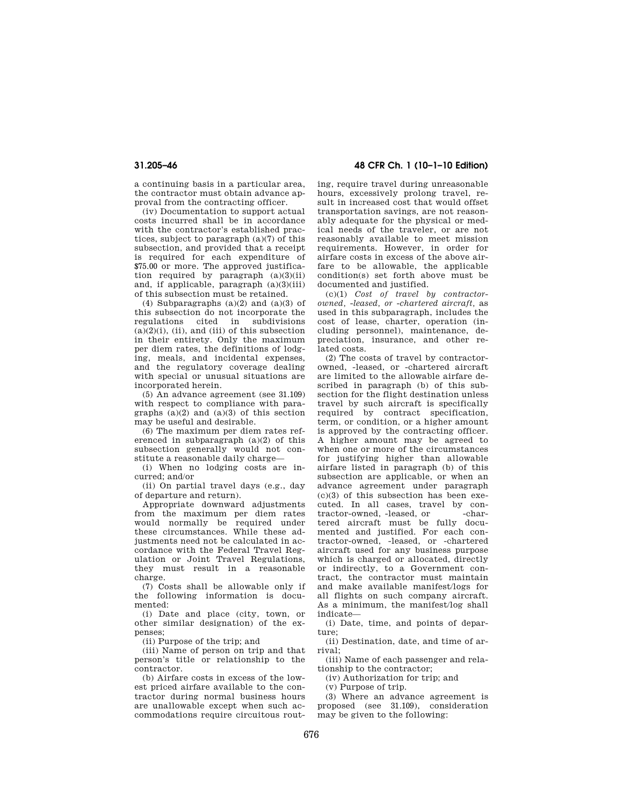a continuing basis in a particular area, the contractor must obtain advance approval from the contracting officer.

(iv) Documentation to support actual costs incurred shall be in accordance with the contractor's established practices, subject to paragraph (a)(7) of this subsection, and provided that a receipt is required for each expenditure of \$75.00 or more. The approved justification required by paragraph  $(a)(3)(ii)$ and, if applicable, paragraph  $(a)(3)(iii)$ of this subsection must be retained.

(4) Subparagraphs  $(a)(2)$  and  $(a)(3)$  of this subsection do not incorporate the regulations cited in subdivisions  $(a)(2)(i)$ , (ii), and (iii) of this subsection in their entirety. Only the maximum per diem rates, the definitions of lodging, meals, and incidental expenses, and the regulatory coverage dealing with special or unusual situations are incorporated herein.

(5) An advance agreement (see 31.109) with respect to compliance with paragraphs  $(a)(2)$  and  $(a)(3)$  of this section may be useful and desirable.

(6) The maximum per diem rates referenced in subparagraph (a)(2) of this subsection generally would not constitute a reasonable daily charge—

(i) When no lodging costs are incurred; and/or

(ii) On partial travel days (e.g., day of departure and return).

Appropriate downward adjustments from the maximum per diem rates would normally be required under these circumstances. While these adjustments need not be calculated in accordance with the Federal Travel Regulation or Joint Travel Regulations, they must result in a reasonable charge.

(7) Costs shall be allowable only if the following information is documented:

(i) Date and place (city, town, or other similar designation) of the expenses;

(ii) Purpose of the trip; and

(iii) Name of person on trip and that person's title or relationship to the contractor.

(b) Airfare costs in excess of the lowest priced airfare available to the contractor during normal business hours are unallowable except when such accommodations require circuitous rout-

**31.205–46 48 CFR Ch. 1 (10–1–10 Edition)** 

ing, require travel during unreasonable hours, excessively prolong travel, result in increased cost that would offset transportation savings, are not reasonably adequate for the physical or medical needs of the traveler, or are not reasonably available to meet mission requirements. However, in order for airfare costs in excess of the above airfare to be allowable, the applicable condition(s) set forth above must be documented and justified.

(c)(1) *Cost of travel by contractorowned, -leased, or -chartered aircraft,* as used in this subparagraph, includes the cost of lease, charter, operation (including personnel), maintenance, depreciation, insurance, and other related costs.

(2) The costs of travel by contractorowned, -leased, or -chartered aircraft are limited to the allowable airfare described in paragraph (b) of this subsection for the flight destination unless travel by such aircraft is specifically required by contract specification, term, or condition, or a higher amount is approved by the contracting officer. A higher amount may be agreed to when one or more of the circumstances for justifying higher than allowable airfare listed in paragraph (b) of this subsection are applicable, or when an advance agreement under paragraph  $(c)(3)$  of this subsection has been executed. In all cases, travel by con-<br>tractor-owned -leased or -chartractor-owned, -leased, or tered aircraft must be fully documented and justified. For each contractor-owned, -leased, or -chartered aircraft used for any business purpose which is charged or allocated, directly or indirectly, to a Government contract, the contractor must maintain and make available manifest/logs for all flights on such company aircraft. As a minimum, the manifest/log shall indicate—

(i) Date, time, and points of departure;

(ii) Destination, date, and time of arrival;

(iii) Name of each passenger and relationship to the contractor;

(iv) Authorization for trip; and

(v) Purpose of trip.

(3) Where an advance agreement is proposed (see 31.109), consideration may be given to the following: